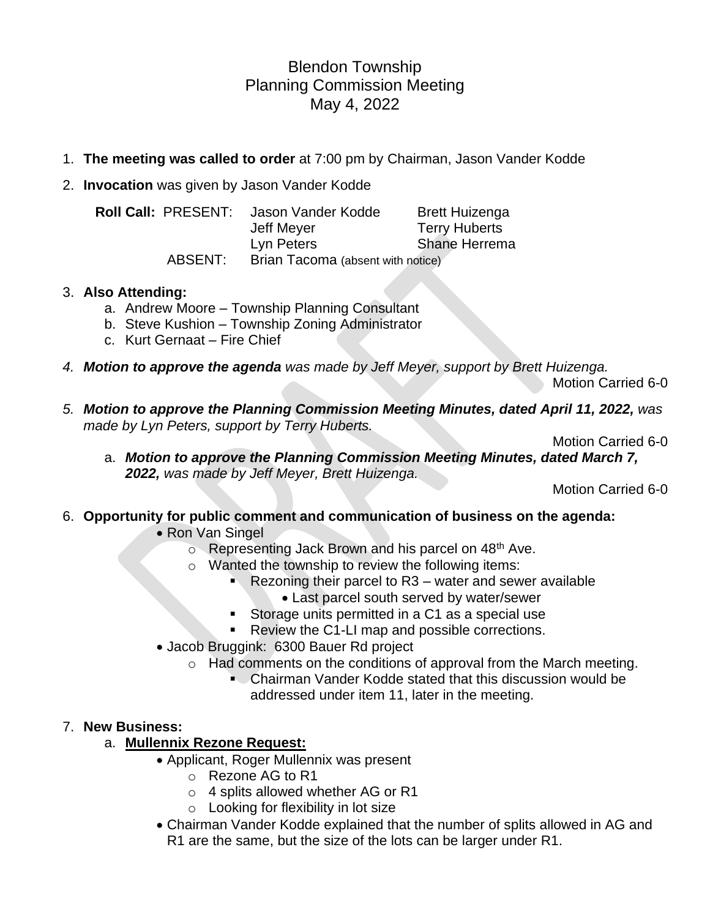# Blendon Township Planning Commission Meeting May 4, 2022

- 1. **The meeting was called to order** at 7:00 pm by Chairman, Jason Vander Kodde
- 2. **Invocation** was given by Jason Vander Kodde

| <b>Roll Call: PRESENT:</b> | Jason Vander Kodde                | <b>Brett Huizenga</b> |
|----------------------------|-----------------------------------|-----------------------|
|                            | Jeff Meyer                        | <b>Terry Huberts</b>  |
|                            | Lyn Peters                        | <b>Shane Herrema</b>  |
| ABSENT:                    | Brian Tacoma (absent with notice) |                       |

## 3. **Also Attending:**

- a. Andrew Moore Township Planning Consultant
- b. Steve Kushion Township Zoning Administrator
- c. Kurt Gernaat Fire Chief
- *4. Motion to approve the agenda was made by Jeff Meyer, support by Brett Huizenga.*

Motion Carried 6-0

*5. Motion to approve the Planning Commission Meeting Minutes, dated April 11, 2022, was made by Lyn Peters, support by Terry Huberts.*

Motion Carried 6-0

a. *Motion to approve the Planning Commission Meeting Minutes, dated March 7, 2022, was made by Jeff Meyer, Brett Huizenga.*

Motion Carried 6-0

# 6. **Opportunity for public comment and communication of business on the agenda:**

- Ron Van Singel
	- o Representing Jack Brown and his parcel on 48<sup>th</sup> Ave.
	- o Wanted the township to review the following items:
		- $\blacksquare$  Rezoning their parcel to R3 water and sewer available
			- Last parcel south served by water/sewer
		- Storage units permitted in a C1 as a special use
		- Review the C1-LI map and possible corrections.
- Jacob Bruggink: 6300 Bauer Rd project
	- o Had comments on the conditions of approval from the March meeting.
		- Chairman Vander Kodde stated that this discussion would be addressed under item 11, later in the meeting.

# 7. **New Business:**

# a. **Mullennix Rezone Request:**

- Applicant, Roger Mullennix was present
	- o Rezone AG to R1
	- o 4 splits allowed whether AG or R1
	- $\circ$  Looking for flexibility in lot size
- Chairman Vander Kodde explained that the number of splits allowed in AG and R1 are the same, but the size of the lots can be larger under R1.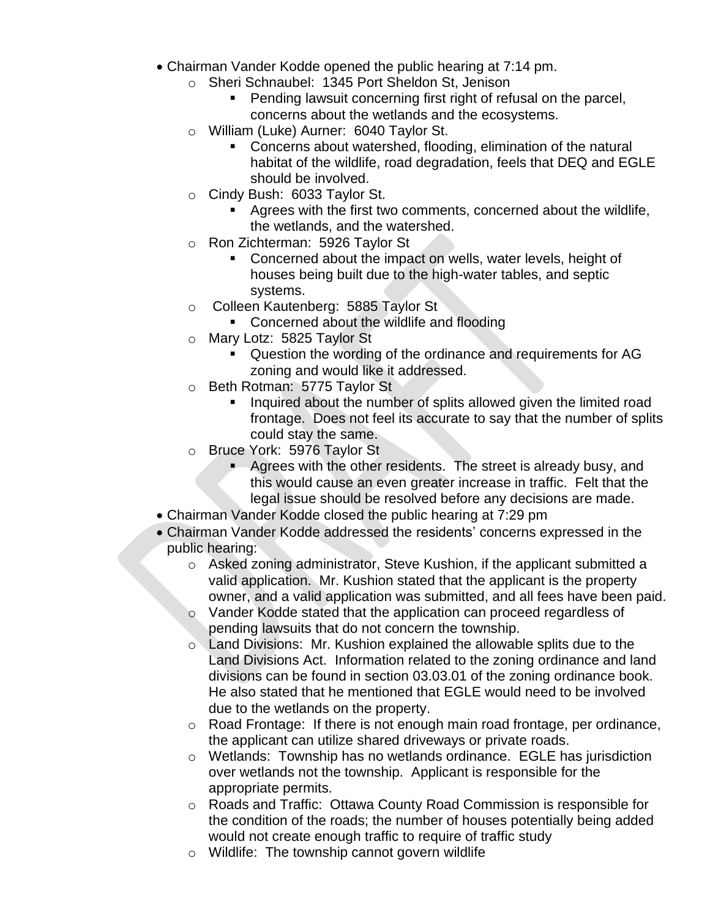- Chairman Vander Kodde opened the public hearing at 7:14 pm.
	- o Sheri Schnaubel: 1345 Port Sheldon St, Jenison
		- Pending lawsuit concerning first right of refusal on the parcel, concerns about the wetlands and the ecosystems.
	- o William (Luke) Aurner: 6040 Taylor St.
		- Concerns about watershed, flooding, elimination of the natural habitat of the wildlife, road degradation, feels that DEQ and EGLE should be involved.
	- o Cindy Bush: 6033 Taylor St.
		- Agrees with the first two comments, concerned about the wildlife, the wetlands, and the watershed.
	- o Ron Zichterman: 5926 Taylor St
		- Concerned about the impact on wells, water levels, height of houses being built due to the high-water tables, and septic systems.
	- o Colleen Kautenberg: 5885 Taylor St
		- Concerned about the wildlife and flooding
	- o Mary Lotz: 5825 Taylor St
		- Question the wording of the ordinance and requirements for AG zoning and would like it addressed.
	- o Beth Rotman: 5775 Taylor St
		- Inquired about the number of splits allowed given the limited road frontage. Does not feel its accurate to say that the number of splits could stay the same.
	- o Bruce York: 5976 Taylor St
		- **E** Agrees with the other residents. The street is already busy, and this would cause an even greater increase in traffic. Felt that the legal issue should be resolved before any decisions are made.
- Chairman Vander Kodde closed the public hearing at 7:29 pm
- Chairman Vander Kodde addressed the residents' concerns expressed in the public hearing:
	- o Asked zoning administrator, Steve Kushion, if the applicant submitted a valid application. Mr. Kushion stated that the applicant is the property owner, and a valid application was submitted, and all fees have been paid.
	- o Vander Kodde stated that the application can proceed regardless of pending lawsuits that do not concern the township.
	- o Land Divisions: Mr. Kushion explained the allowable splits due to the Land Divisions Act. Information related to the zoning ordinance and land divisions can be found in section 03.03.01 of the zoning ordinance book. He also stated that he mentioned that EGLE would need to be involved due to the wetlands on the property.
	- o Road Frontage: If there is not enough main road frontage, per ordinance, the applicant can utilize shared driveways or private roads.
	- o Wetlands: Township has no wetlands ordinance. EGLE has jurisdiction over wetlands not the township. Applicant is responsible for the appropriate permits.
	- $\circ$  Roads and Traffic: Ottawa County Road Commission is responsible for the condition of the roads; the number of houses potentially being added would not create enough traffic to require of traffic study
	- o Wildlife: The township cannot govern wildlife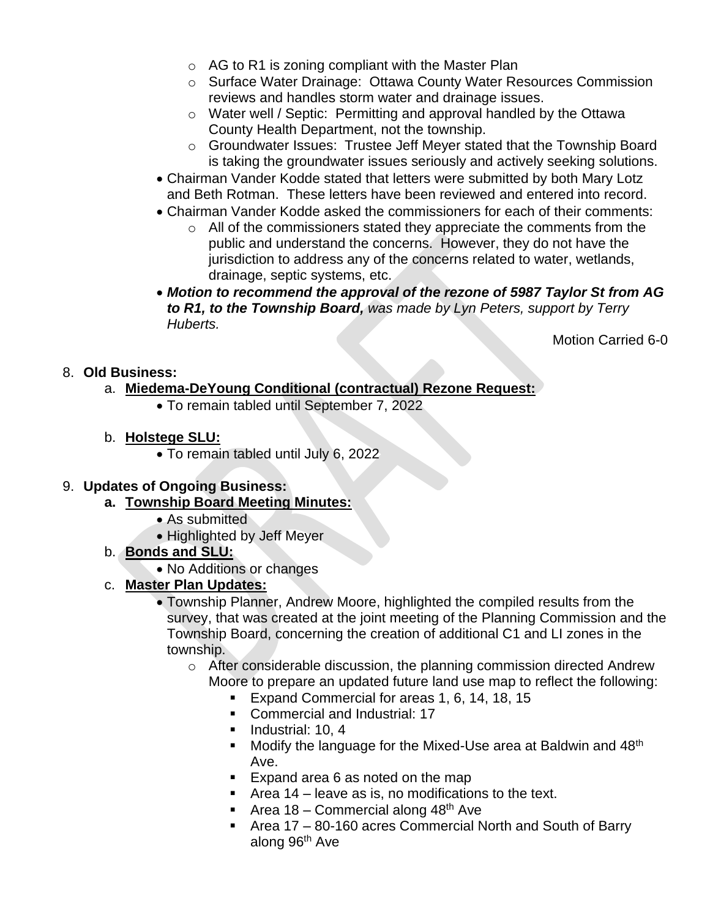- $\circ$  AG to R1 is zoning compliant with the Master Plan
- o Surface Water Drainage: Ottawa County Water Resources Commission reviews and handles storm water and drainage issues.
- o Water well / Septic: Permitting and approval handled by the Ottawa County Health Department, not the township.
- o Groundwater Issues: Trustee Jeff Meyer stated that the Township Board is taking the groundwater issues seriously and actively seeking solutions.
- Chairman Vander Kodde stated that letters were submitted by both Mary Lotz and Beth Rotman. These letters have been reviewed and entered into record.
- Chairman Vander Kodde asked the commissioners for each of their comments:
	- $\circ$  All of the commissioners stated they appreciate the comments from the public and understand the concerns. However, they do not have the jurisdiction to address any of the concerns related to water, wetlands, drainage, septic systems, etc.
- *Motion to recommend the approval of the rezone of 5987 Taylor St from AG to R1, to the Township Board, was made by Lyn Peters, support by Terry Huberts.*

Motion Carried 6-0

## 8. **Old Business:**

- a. **Miedema-DeYoung Conditional (contractual) Rezone Request:**
	- To remain tabled until September 7, 2022
- b. **Holstege SLU:**
	- To remain tabled until July 6, 2022

# 9. **Updates of Ongoing Business:**

- **a. Township Board Meeting Minutes:**
	- As submitted
	- Highlighted by Jeff Meyer
- b. **Bonds and SLU:**
	- No Additions or changes

# c. **Master Plan Updates:**

- Township Planner, Andrew Moore, highlighted the compiled results from the survey, that was created at the joint meeting of the Planning Commission and the Township Board, concerning the creation of additional C1 and LI zones in the township.
	- $\circ$  After considerable discussion, the planning commission directed Andrew Moore to prepare an updated future land use map to reflect the following:
		- Expand Commercial for areas 1, 6, 14, 18, 15
		- Commercial and Industrial: 17
		- **·** Industrial: 10, 4
		- $\blacksquare$  Modify the language for the Mixed-Use area at Baldwin and 48<sup>th</sup> Ave.
		- Expand area 6 as noted on the map
		- $\blacksquare$  Area 14 leave as is, no modifications to the text.
		- **E** Area 18 Commercial along  $48<sup>th</sup>$  Ave
		- Area 17 80-160 acres Commercial North and South of Barry along 96th Ave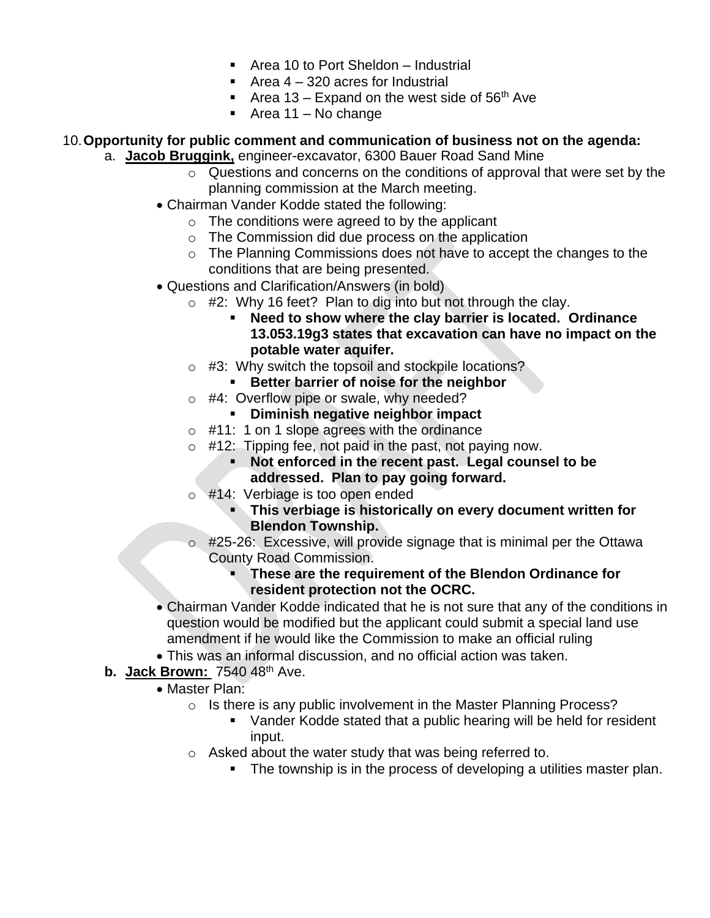- Area 10 to Port Sheldon Industrial
- $\blacksquare$  Area 4 320 acres for Industrial
- **EXPALE** Area 13 Expand on the west side of 56<sup>th</sup> Ave
- $\blacksquare$  Area 11 No change

# 10.**Opportunity for public comment and communication of business not on the agenda:**

- a. **Jacob Bruggink,** engineer-excavator, 6300 Bauer Road Sand Mine
	- o Questions and concerns on the conditions of approval that were set by the planning commission at the March meeting.
	- Chairman Vander Kodde stated the following:
		- $\circ$  The conditions were agreed to by the applicant
		- o The Commission did due process on the application
		- o The Planning Commissions does not have to accept the changes to the conditions that are being presented.
	- Questions and Clarification/Answers (in bold)
		- $\circ$  #2: Why 16 feet? Plan to dig into but not through the clay.
			- **Need to show where the clay barrier is located. Ordinance 13.053.19g3 states that excavation can have no impact on the potable water aquifer.**
		- o #3: Why switch the topsoil and stockpile locations?
			- **Better barrier of noise for the neighbor**
		- o #4: Overflow pipe or swale, why needed?
			- **Diminish negative neighbor impact**
		- $\circ$  #11: 1 on 1 slope agrees with the ordinance
		- $\circ$  #12: Tipping fee, not paid in the past, not paying now.
			- **Not enforced in the recent past. Legal counsel to be addressed. Plan to pay going forward.**
			- #14: Verbiage is too open ended
				- **EXTE:** This verbiage is historically on every document written for **Blendon Township.**
		- o #25-26: Excessive, will provide signage that is minimal per the Ottawa County Road Commission.

#### ▪ **These are the requirement of the Blendon Ordinance for resident protection not the OCRC.**

- Chairman Vander Kodde indicated that he is not sure that any of the conditions in question would be modified but the applicant could submit a special land use amendment if he would like the Commission to make an official ruling
- This was an informal discussion, and no official action was taken.
- **b. Jack Brown:** 7540 48th Ave.
	- Master Plan:
		- o Is there is any public involvement in the Master Planning Process?
			- Vander Kodde stated that a public hearing will be held for resident input.
		- o Asked about the water study that was being referred to.
			- **•** The township is in the process of developing a utilities master plan.